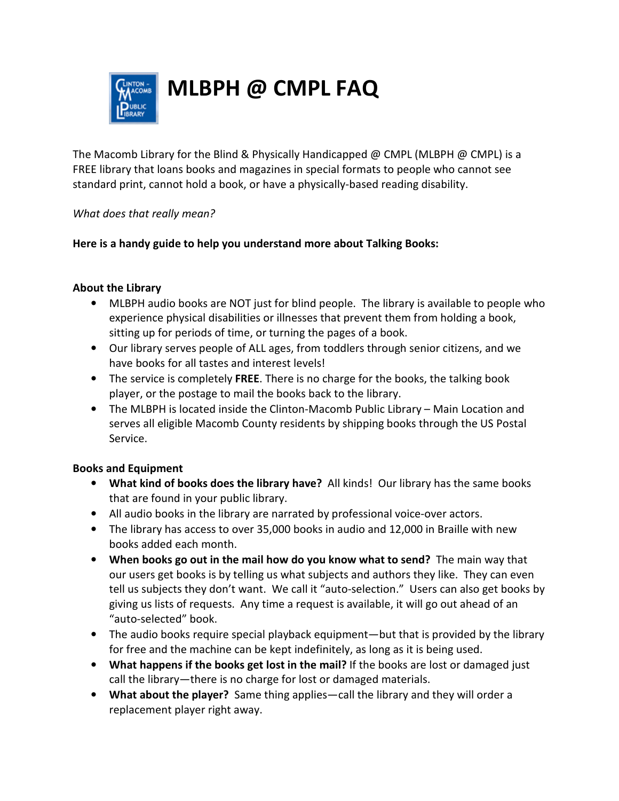

# **MLBPH @ CMPL FAQ**

The Macomb Library for the Blind & Physically Handicapped @ CMPL (MLBPH @ CMPL) is a FREE library that loans books and magazines in special formats to people who cannot see standard print, cannot hold a book, or have a physically-based reading disability.

#### *What does that really mean?*

## **Here is a handy guide to help you understand more about Talking Books:**

## **About the Library**

- MLBPH audio books are NOT just for blind people. The library is available to people who experience physical disabilities or illnesses that prevent them from holding a book, sitting up for periods of time, or turning the pages of a book.
- Our library serves people of ALL ages, from toddlers through senior citizens, and we have books for all tastes and interest levels!
- The service is completely **FREE**. There is no charge for the books, the talking book player, or the postage to mail the books back to the library.
- The MLBPH is located inside the Clinton-Macomb Public Library Main Location and serves all eligible Macomb County residents by shipping books through the US Postal Service.

## **Books and Equipment**

- **What kind of books does the library have?** All kinds! Our library has the same books that are found in your public library.
- All audio books in the library are narrated by professional voice-over actors.
- The library has access to over 35,000 books in audio and 12,000 in Braille with new books added each month.
- **When books go out in the mail how do you know what to send?** The main way that our users get books is by telling us what subjects and authors they like. They can even tell us subjects they don't want. We call it "auto-selection." Users can also get books by giving us lists of requests. Any time a request is available, it will go out ahead of an "auto-selected" book.
- The audio books require special playback equipment—but that is provided by the library for free and the machine can be kept indefinitely, as long as it is being used.
- **What happens if the books get lost in the mail?** If the books are lost or damaged just call the library—there is no charge for lost or damaged materials.
- **What about the player?** Same thing applies—call the library and they will order a replacement player right away.